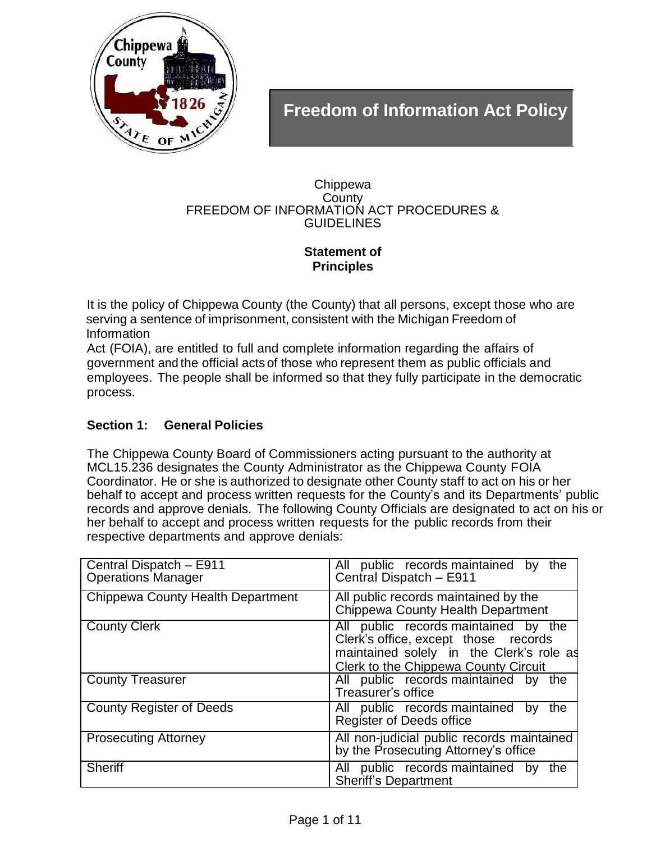

# **Freedom of Information Act Policy**

#### Chippewa **County** FREEDOM OF INFORMATION ACT PROCEDURES & **GUIDELINES**

# **Statement of Principles**

It is the policy of Chippewa County (the County) that all persons, except those who are serving a sentence of imprisonment, consistent with the Michigan Freedom of Information

Act (FOIA), are entitled to full and complete information regarding the affairs of government and the official acts of those who represent them as public officials and employees. The people shall be informed so that they fully participate in the democratic process.

# **Section 1: General Policies**

The Chippewa County Board of Commissioners acting pursuant to the authority at MCL15.236 designates the County Administrator as the Chippewa County FOIA Coordinator. He or she is authorized to designate other County staff to act on his or her behalf to accept and process written requests for the County's and its Departments' public records and approve denials. The following County Officials are designated to act on his or her behalf to accept and process written requests for the public records from their respective departments and approve denials:

| Central Dispatch - E911<br><b>Operations Manager</b> | All public records maintained by the<br>Central Dispatch - E911                                                                                                  |
|------------------------------------------------------|------------------------------------------------------------------------------------------------------------------------------------------------------------------|
| <b>Chippewa County Health Department</b>             | All public records maintained by the<br>Chippewa County Health Department                                                                                        |
| <b>County Clerk</b>                                  | All public records maintained by the<br>Clerk's office, except those records<br>maintained solely in the Clerk's role as<br>Clerk to the Chippewa County Circuit |
| <b>County Treasurer</b>                              | All public records maintained by the<br>Treasurer's office                                                                                                       |
| <b>County Register of Deeds</b>                      | All public records maintained by<br>the<br><b>Register of Deeds office</b>                                                                                       |
| <b>Prosecuting Attorney</b>                          | All non-judicial public records maintained<br>by the Prosecuting Attorney's office                                                                               |
| <b>Sheriff</b>                                       | All public records maintained by<br>the<br><b>Sheriff's Department</b>                                                                                           |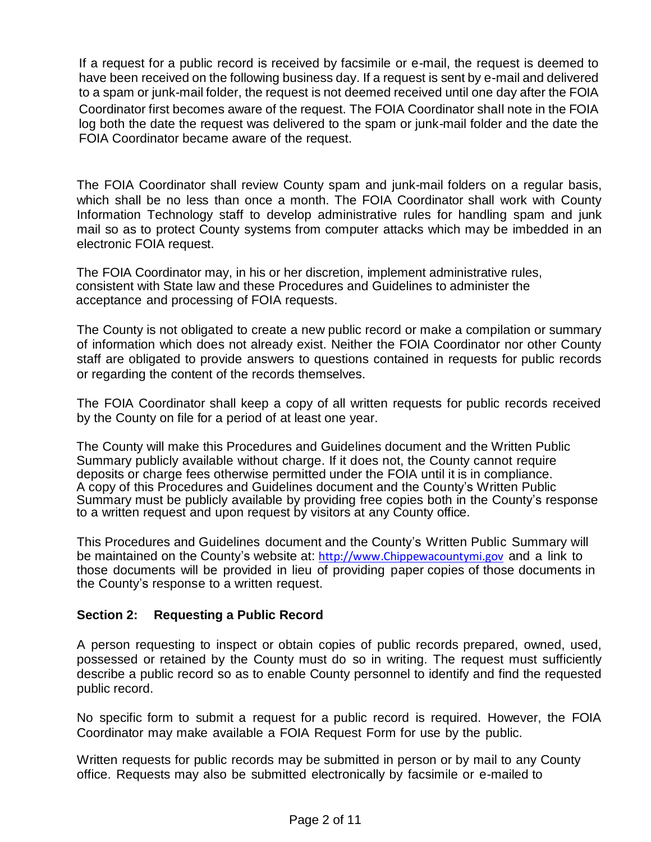If a request for a public record is received by facsimile or e-mail, the request is deemed to have been received on the following business day. If a request is sent by e-mail and delivered to a spam or junk-mail folder, the request is not deemed received until one day after the FOIA log both the date the request was delivered to the spam or junk-mail folder and the date the FOIA Coordinator became aware of the request. Coordinator first becomes aware of the request. The FOIA Coordinator shall note in the FOIA

The FOIA Coordinator shall review County spam and junk-mail folders on a regular basis, which shall be no less than once a month. The FOIA Coordinator shall work with County Information Technology staff to develop administrative rules for handling spam and junk mail so as to protect County systems from computer attacks which may be imbedded in an electronic FOIA request.

The FOIA Coordinator may, in his or her discretion, implement administrative rules, consistent with State law and these Procedures and Guidelines to administer the acceptance and processing of FOIA requests.

The County is not obligated to create a new public record or make a compilation or summary of information which does not already exist. Neither the FOIA Coordinator nor other County staff are obligated to provide answers to questions contained in requests for public records or regarding the content of the records themselves.

The FOIA Coordinator shall keep a copy of all written requests for public records received by the County on file for a period of at least one year.

The County will make this Procedures and Guidelines document and the Written Public Summary publicly available without charge. If it does not, the County cannot require deposits or charge fees otherwise permitted under the FOIA until it is in compliance. A copy of this Procedures and Guidelines document and the County's Written Public Summary must be publicly available by providing free copies both in the County's response to a written request and upon request by visitors at any County office.

This Procedures and Guidelines document and the County's Written Public Summary will be maintained on the County's website at: http://www.Chippewacountymi.gov and a link to those documents will be provided in lieu of providing paper copies of those documents in the County's response to a written reques[t.](http://www.chippewacountymi.gov/)

# **Section 2: Requesting a Public Record**

A person requesting to inspect or obtain copies of public records prepared, owned, used, possessed or retained by the County must do so in writing. The request must sufficiently describe a public record so as to enable County personnel to identify and find the requested public record.

No specific form to submit a request for a public record is required. However, the FOIA Coordinator may make available a FOIA Request Form for use by the public.

Written requests for public records may be submitted in person or by mail to any County office. Requests may also be submitted electronically by facsimile or e-mailed to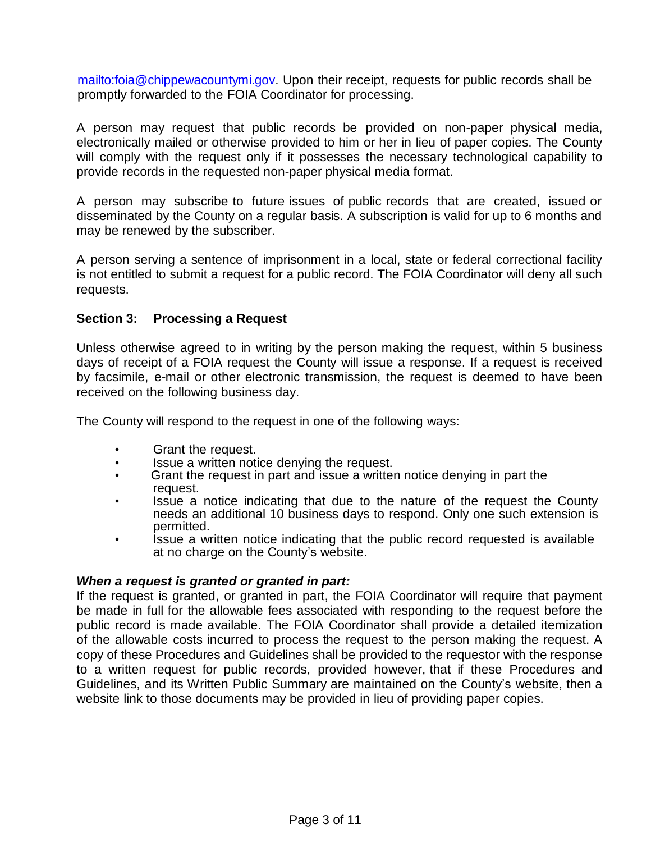[mailto:foia@chippewacountymi.gov.](mailto:foia@chippewacountymi.gov) Upon their receipt, requests for public records shall be promptly forwarded to the FOIA Coordinator for processing.

A person may request that public records be provided on non-paper physical media, electronically mailed or otherwise provided to him or her in lieu of paper copies. The County will comply with the request only if it possesses the necessary technological capability to provide records in the requested non-paper physical media format.

A person may subscribe to future issues of public records that are created, issued or disseminated by the County on a regular basis. A subscription is valid for up to 6 months and may be renewed by the subscriber.

A person serving a sentence of imprisonment in a local, state or federal correctional facility is not entitled to submit a request for a public record. The FOIA Coordinator will deny all such requests.

# **Section 3: Processing a Request**

Unless otherwise agreed to in writing by the person making the request, within 5 business days of receipt of a FOIA request the County will issue a response. If a request is received by facsimile, e-mail or other electronic transmission, the request is deemed to have been received on the following business day.

The County will respond to the request in one of the following ways:

- Grant the request.
- Issue a written notice denying the request.
- Grant the request in part and issue a written notice denying in part the request.
- Issue a notice indicating that due to the nature of the request the County needs an additional 10 business days to respond. Only one such extension is permitted.
- Issue a written notice indicating that the public record requested is available at no charge on the County's website.

#### *When a request is granted or granted in part:*

If the request is granted, or granted in part, the FOIA Coordinator will require that payment be made in full for the allowable fees associated with responding to the request before the public record is made available. The FOIA Coordinator shall provide a detailed itemization of the allowable costs incurred to process the request to the person making the request. A copy of these Procedures and Guidelines shall be provided to the requestor with the response to a written request for public records, provided however, that if these Procedures and Guidelines, and its Written Public Summary are maintained on the County's website, then a website link to those documents may be provided in lieu of providing paper copies.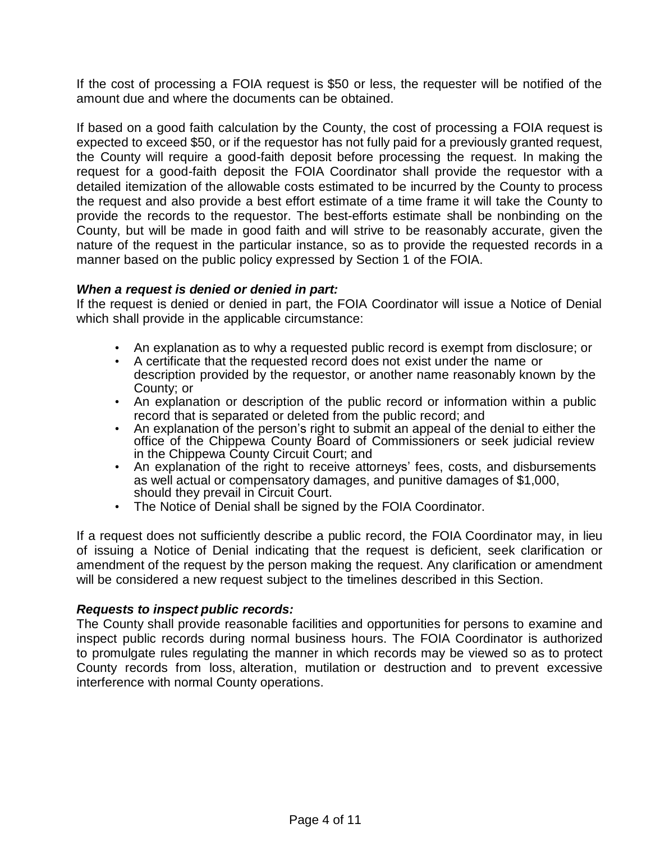If the cost of processing a FOIA request is \$50 or less, the requester will be notified of the amount due and where the documents can be obtained.

If based on a good faith calculation by the County, the cost of processing a FOIA request is expected to exceed \$50, or if the requestor has not fully paid for a previously granted request, the County will require a good-faith deposit before processing the request. In making the request for a good-faith deposit the FOIA Coordinator shall provide the requestor with a detailed itemization of the allowable costs estimated to be incurred by the County to process the request and also provide a best effort estimate of a time frame it will take the County to provide the records to the requestor. The best-efforts estimate shall be nonbinding on the County, but will be made in good faith and will strive to be reasonably accurate, given the nature of the request in the particular instance, so as to provide the requested records in a manner based on the public policy expressed by Section 1 of the FOIA.

# *When a request is denied or denied in part:*

If the request is denied or denied in part, the FOIA Coordinator will issue a Notice of Denial which shall provide in the applicable circumstance:

- An explanation as to why a requested public record is exempt from disclosure; or
- A certificate that the requested record does not exist under the name or description provided by the requestor, or another name reasonably known by the County; or
- An explanation or description of the public record or information within a public record that is separated or deleted from the public record; and
- An explanation of the person's right to submit an appeal of the denial to either the office of the Chippewa County Board of Commissioners or seek judicial review in the Chippewa County Circuit Court; and
- An explanation of the right to receive attorneys' fees, costs, and disbursements as well actual or compensatory damages, and punitive damages of \$1,000, should they prevail in Circuit Court.
- The Notice of Denial shall be signed by the FOIA Coordinator.

If a request does not sufficiently describe a public record, the FOIA Coordinator may, in lieu of issuing a Notice of Denial indicating that the request is deficient, seek clarification or amendment of the request by the person making the request. Any clarification or amendment will be considered a new request subject to the timelines described in this Section.

#### *Requests to inspect public records:*

The County shall provide reasonable facilities and opportunities for persons to examine and inspect public records during normal business hours. The FOIA Coordinator is authorized to promulgate rules regulating the manner in which records may be viewed so as to protect County records from loss, alteration, mutilation or destruction and to prevent excessive interference with normal County operations.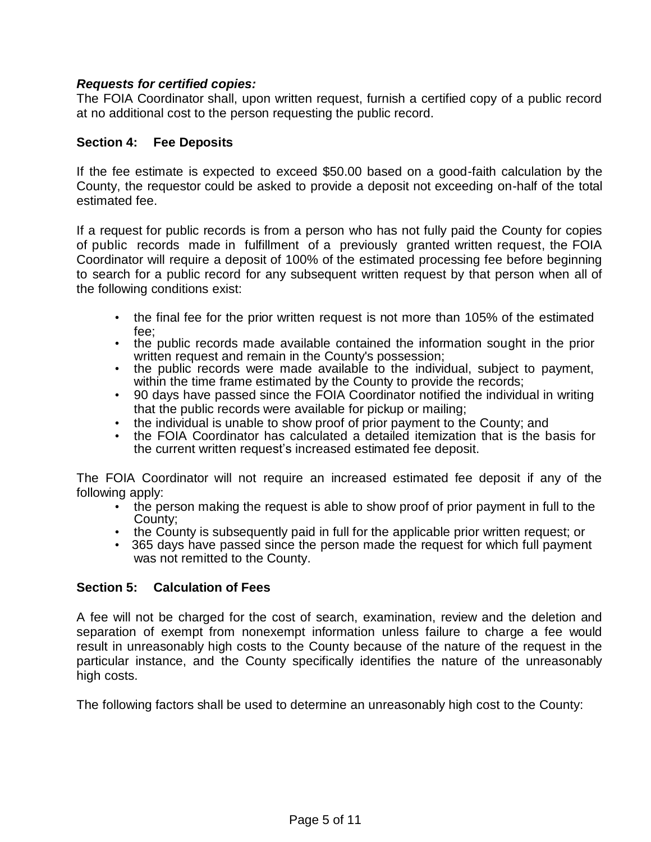# *Requests for certified copies:*

The FOIA Coordinator shall, upon written request, furnish a certified copy of a public record at no additional cost to the person requesting the public record.

# **Section 4: Fee Deposits**

If the fee estimate is expected to exceed \$50.00 based on a good-faith calculation by the County, the requestor could be asked to provide a deposit not exceeding on-half of the total estimated fee.

If a request for public records is from a person who has not fully paid the County for copies of public records made in fulfillment of a previously granted written request, the FOIA Coordinator will require a deposit of 100% of the estimated processing fee before beginning to search for a public record for any subsequent written request by that person when all of the following conditions exist:

- the final fee for the prior written request is not more than 105% of the estimated fee;
- the public records made available contained the information sought in the prior written request and remain in the County's possession;
- the public records were made available to the individual, subject to payment, within the time frame estimated by the County to provide the records;
- 90 days have passed since the FOIA Coordinator notified the individual in writing that the public records were available for pickup or mailing;
- the individual is unable to show proof of prior payment to the County; and
- the FOIA Coordinator has calculated a detailed itemization that is the basis for the current written request's increased estimated fee deposit.

The FOIA Coordinator will not require an increased estimated fee deposit if any of the following apply:

- the person making the request is able to show proof of prior payment in full to the County;
- the County is subsequently paid in full for the applicable prior written request; or
- 365 days have passed since the person made the request for which full payment was not remitted to the County.

# **Section 5: Calculation of Fees**

A fee will not be charged for the cost of search, examination, review and the deletion and separation of exempt from nonexempt information unless failure to charge a fee would result in unreasonably high costs to the County because of the nature of the request in the particular instance, and the County specifically identifies the nature of the unreasonably high costs.

The following factors shall be used to determine an unreasonably high cost to the County: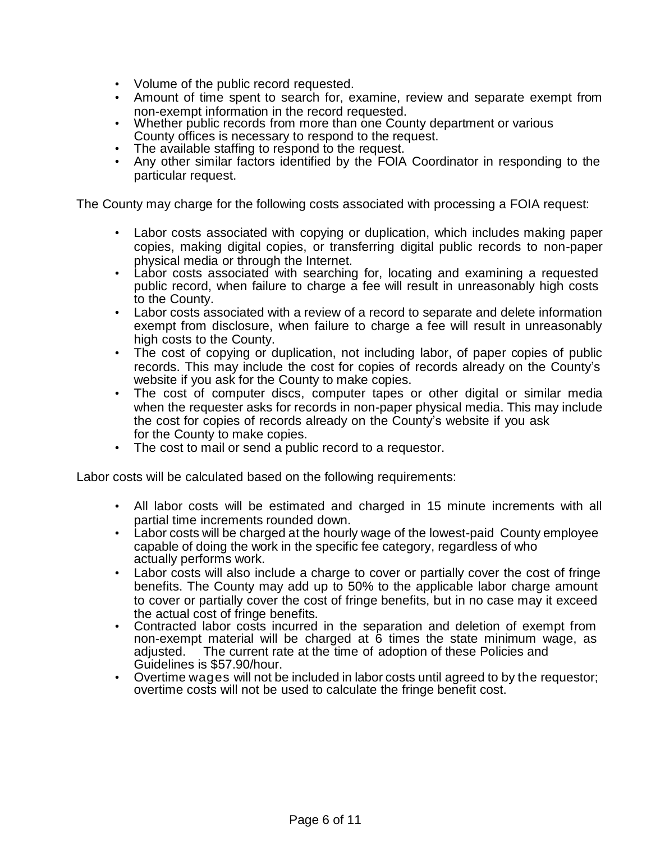- Volume of the public record requested.
- Amount of time spent to search for, examine, review and separate exempt from non-exempt information in the record requested.
- Whether public records from more than one County department or various County offices is necessary to respond to the request.
- The available staffing to respond to the request.
- Any other similar factors identified by the FOIA Coordinator in responding to the particular request.

The County may charge for the following costs associated with processing a FOIA request:

- Labor costs associated with copying or duplication, which includes making paper copies, making digital copies, or transferring digital public records to non-paper physical media or through the Internet.
- Labor costs associated with searching for, locating and examining a requested public record, when failure to charge a fee will result in unreasonably high costs to the County.
- Labor costs associated with a review of a record to separate and delete information exempt from disclosure, when failure to charge a fee will result in unreasonably high costs to the County.
- The cost of copying or duplication, not including labor, of paper copies of public records. This may include the cost for copies of records already on the County's website if you ask for the County to make copies.
- The cost of computer discs, computer tapes or other digital or similar media when the requester asks for records in non-paper physical media. This may include the cost for copies of records already on the County's website if you ask for the County to make copies.
- The cost to mail or send a public record to a requestor.

Labor costs will be calculated based on the following requirements:

- All labor costs will be estimated and charged in 15 minute increments with all partial time increments rounded down.
- Labor costs will be charged at the hourly wage of the lowest-paid County employee capable of doing the work in the specific fee category, regardless of who actually performs work.
- Labor costs will also include a charge to cover or partially cover the cost of fringe benefits. The County may add up to 50% to the applicable labor charge amount to cover or partially cover the cost of fringe benefits, but in no case may it exceed the actual cost of fringe benefits.
- Contracted labor costs incurred in the separation and deletion of exempt from non-exempt material will be charged at 6 times the state minimum wage, as adjusted. The current rate at the time of adoption of these Policies and Guidelines is \$57.90/hour.
- Overtime wages will not be included in labor costs until agreed to by the requestor; overtime costs will not be used to calculate the fringe benefit cost.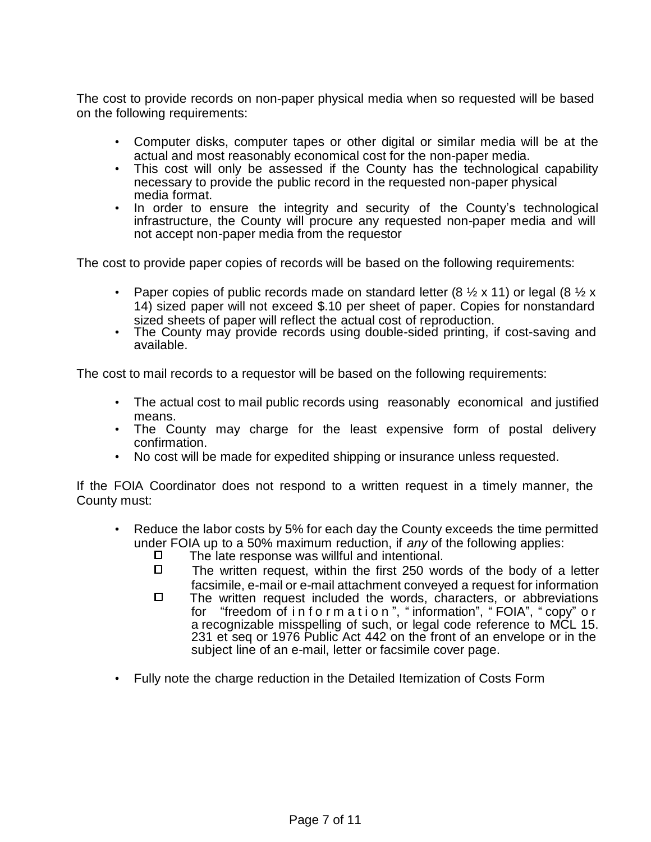The cost to provide records on non-paper physical media when so requested will be based on the following requirements:

- Computer disks, computer tapes or other digital or similar media will be at the actual and most reasonably economical cost for the non-paper media.
- This cost will only be assessed if the County has the technological capability necessary to provide the public record in the requested non-paper physical media format.
- In order to ensure the integrity and security of the County's technological infrastructure, the County will procure any requested non-paper media and will not accept non-paper media from the requestor

The cost to provide paper copies of records will be based on the following requirements:

- Paper copies of public records made on standard letter (8  $\frac{1}{2}$  x 11) or legal (8  $\frac{1}{2}$  x 14) sized paper will not exceed \$.10 per sheet of paper. Copies for nonstandard sized sheets of paper will reflect the actual cost of reproduction.
- The County may provide records using double-sided printing, if cost-saving and available.

The cost to mail records to a requestor will be based on the following requirements:

- The actual cost to mail public records using reasonably economical and justified means.
- The County may charge for the least expensive form of postal delivery confirmation.
- No cost will be made for expedited shipping or insurance unless requested.

If the FOIA Coordinator does not respond to a written request in a timely manner, the County must:

- Reduce the labor costs by 5% for each day the County exceeds the time permitted under FOIA up to a 50% maximum reduction, if *any* of the following applies:
	- $\square$  The late response was willful and intentional.<br> $\square$  The written request within the first 250 wo
	- The written request, within the first 250 words of the body of a letter facsimile, e-mail or e-mail attachment conveyed a request for information
	- $\square$  The written request included the words, characters, or abbreviations for "freedom of i n f o r m a t i o n ", " information", " FOIA", " copy" o r a recognizable misspelling of such, or legal code reference to MCL 15. 231 et seq or 1976 Public Act 442 on the front of an envelope or in the subject line of an e-mail, letter or facsimile cover page.
- Fully note the charge reduction in the Detailed Itemization of Costs Form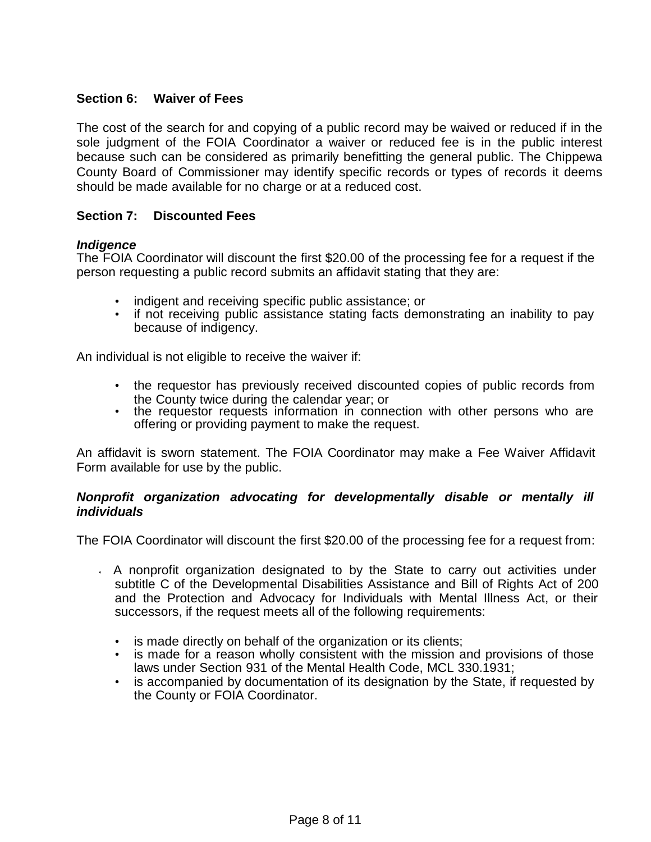# **Section 6: Waiver of Fees**

The cost of the search for and copying of a public record may be waived or reduced if in the sole judgment of the FOIA Coordinator a waiver or reduced fee is in the public interest because such can be considered as primarily benefitting the general public. The Chippewa County Board of Commissioner may identify specific records or types of records it deems should be made available for no charge or at a reduced cost.

#### **Section 7: Discounted Fees**

#### *Indigence*

The FOIA Coordinator will discount the first \$20.00 of the processing fee for a request if the person requesting a public record submits an affidavit stating that they are:

- indigent and receiving specific public assistance; or
- if not receiving public assistance stating facts demonstrating an inability to pay because of indigency.

An individual is not eligible to receive the waiver if:

- the requestor has previously received discounted copies of public records from the County twice during the calendar year; or
- the requestor requests information in connection with other persons who are offering or providing payment to make the request.

An affidavit is sworn statement. The FOIA Coordinator may make a Fee Waiver Affidavit Form available for use by the public.

#### *Nonprofit organization advocating for developmentally disable or mentally ill individuals*

The FOIA Coordinator will discount the first \$20.00 of the processing fee for a request from:

- $\overline{A}$  A nonprofit organization designated to by the State to carry out activities under subtitle C of the Developmental Disabilities Assistance and Bill of Rights Act of 200 and the Protection and Advocacy for Individuals with Mental Illness Act, or their successors, if the request meets all of the following requirements:
	- is made directly on behalf of the organization or its clients;
	- is made for a reason wholly consistent with the mission and provisions of those laws under Section 931 of the Mental Health Code, MCL 330.1931;
	- is accompanied by documentation of its designation by the State, if requested by the County or FOIA Coordinator.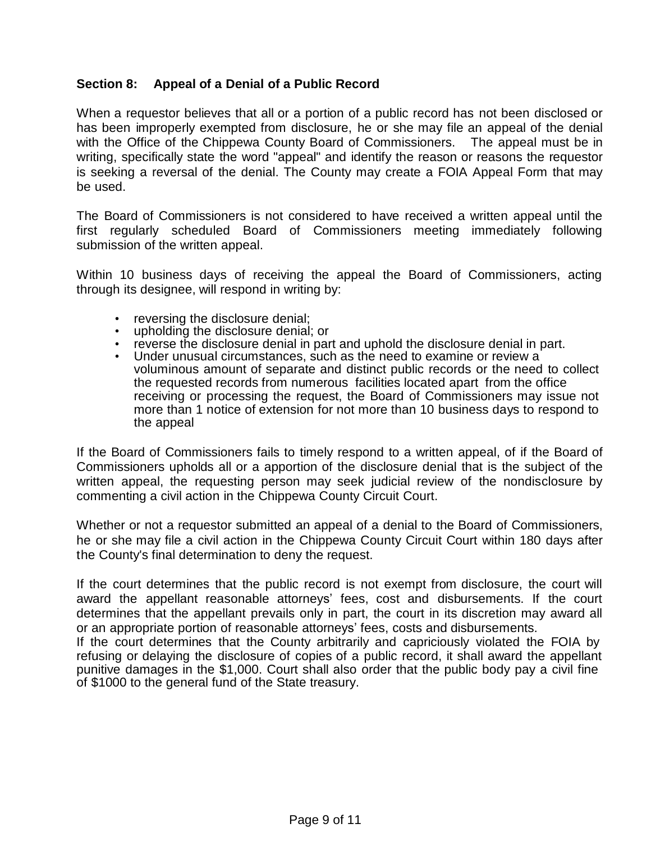# **Section 8: Appeal of a Denial of a Public Record**

When a requestor believes that all or a portion of a public record has not been disclosed or has been improperly exempted from disclosure, he or she may file an appeal of the denial with the Office of the Chippewa County Board of Commissioners. The appeal must be in writing, specifically state the word "appeal" and identify the reason or reasons the requestor is seeking a reversal of the denial. The County may create a FOIA Appeal Form that may be used.

The Board of Commissioners is not considered to have received a written appeal until the first regularly scheduled Board of Commissioners meeting immediately following submission of the written appeal.

Within 10 business days of receiving the appeal the Board of Commissioners, acting through its designee, will respond in writing by:

- reversing the disclosure denial;
- upholding the disclosure denial; or
- reverse the disclosure denial in part and uphold the disclosure denial in part.
- Under unusual circumstances, such as the need to examine or review a voluminous amount of separate and distinct public records or the need to collect the requested records from numerous facilities located apart from the office receiving or processing the request, the Board of Commissioners may issue not more than 1 notice of extension for not more than 10 business days to respond to the appeal

If the Board of Commissioners fails to timely respond to a written appeal, of if the Board of Commissioners upholds all or a apportion of the disclosure denial that is the subject of the written appeal, the requesting person may seek judicial review of the nondisclosure by commenting a civil action in the Chippewa County Circuit Court.

Whether or not a requestor submitted an appeal of a denial to the Board of Commissioners, he or she may file a civil action in the Chippewa County Circuit Court within 180 days after the County's final determination to deny the request.

If the court determines that the public record is not exempt from disclosure, the court will award the appellant reasonable attorneys' fees, cost and disbursements. If the court determines that the appellant prevails only in part, the court in its discretion may award all or an appropriate portion of reasonable attorneys' fees, costs and disbursements.

If the court determines that the County arbitrarily and capriciously violated the FOIA by refusing or delaying the disclosure of copies of a public record, it shall award the appellant punitive damages in the \$1,000. Court shall also order that the public body pay a civil fine of \$1000 to the general fund of the State treasury.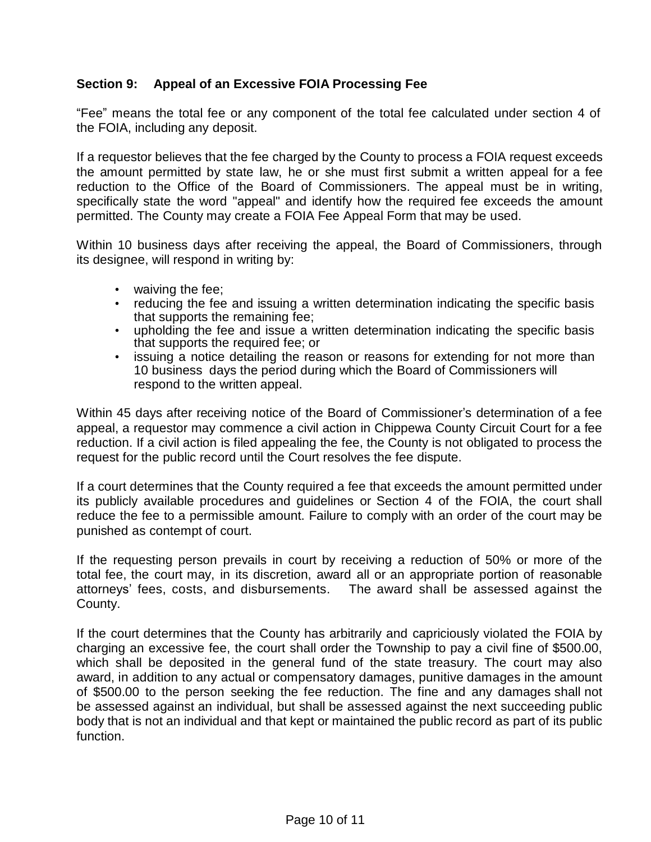# **Section 9: Appeal of an Excessive FOIA Processing Fee**

"Fee" means the total fee or any component of the total fee calculated under section 4 of the FOIA, including any deposit.

If a requestor believes that the fee charged by the County to process a FOIA request exceeds the amount permitted by state law, he or she must first submit a written appeal for a fee reduction to the Office of the Board of Commissioners. The appeal must be in writing, specifically state the word "appeal" and identify how the required fee exceeds the amount permitted. The County may create a FOIA Fee Appeal Form that may be used.

Within 10 business days after receiving the appeal, the Board of Commissioners, through its designee, will respond in writing by:

- waiving the fee;
- reducing the fee and issuing a written determination indicating the specific basis that supports the remaining fee;
- upholding the fee and issue a written determination indicating the specific basis that supports the required fee; or
- issuing a notice detailing the reason or reasons for extending for not more than 10 business days the period during which the Board of Commissioners will respond to the written appeal.

Within 45 days after receiving notice of the Board of Commissioner's determination of a fee appeal, a requestor may commence a civil action in Chippewa County Circuit Court for a fee reduction. If a civil action is filed appealing the fee, the County is not obligated to process the request for the public record until the Court resolves the fee dispute.

If a court determines that the County required a fee that exceeds the amount permitted under its publicly available procedures and guidelines or Section 4 of the FOIA, the court shall reduce the fee to a permissible amount. Failure to comply with an order of the court may be punished as contempt of court.

If the requesting person prevails in court by receiving a reduction of 50% or more of the total fee, the court may, in its discretion, award all or an appropriate portion of reasonable attorneys' fees, costs, and disbursements. The award shall be assessed against the County.

If the court determines that the County has arbitrarily and capriciously violated the FOIA by charging an excessive fee, the court shall order the Township to pay a civil fine of \$500.00, which shall be deposited in the general fund of the state treasury. The court may also award, in addition to any actual or compensatory damages, punitive damages in the amount of \$500.00 to the person seeking the fee reduction. The fine and any damages shall not be assessed against an individual, but shall be assessed against the next succeeding public body that is not an individual and that kept or maintained the public record as part of its public function.